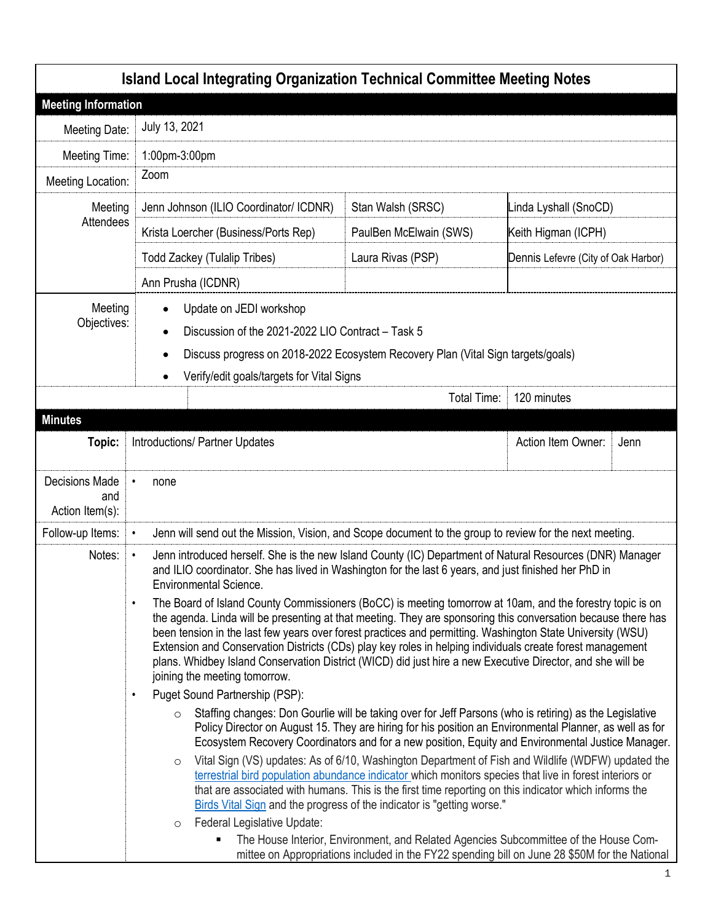| <b>Island Local Integrating Organization Technical Committee Meeting Notes</b> |                                                                                                                                                                                                                                                                                                                                                                                                                                                                                                                                                                                                                                                                                                                                                                                                                                                                                    |                                                                                                                                                                                                                                                                                                                                                                                                                                                                                                                                                                                                                                                                                                                             |                                     |      |  |
|--------------------------------------------------------------------------------|------------------------------------------------------------------------------------------------------------------------------------------------------------------------------------------------------------------------------------------------------------------------------------------------------------------------------------------------------------------------------------------------------------------------------------------------------------------------------------------------------------------------------------------------------------------------------------------------------------------------------------------------------------------------------------------------------------------------------------------------------------------------------------------------------------------------------------------------------------------------------------|-----------------------------------------------------------------------------------------------------------------------------------------------------------------------------------------------------------------------------------------------------------------------------------------------------------------------------------------------------------------------------------------------------------------------------------------------------------------------------------------------------------------------------------------------------------------------------------------------------------------------------------------------------------------------------------------------------------------------------|-------------------------------------|------|--|
| <b>Meeting Information</b>                                                     |                                                                                                                                                                                                                                                                                                                                                                                                                                                                                                                                                                                                                                                                                                                                                                                                                                                                                    |                                                                                                                                                                                                                                                                                                                                                                                                                                                                                                                                                                                                                                                                                                                             |                                     |      |  |
| Meeting Date:                                                                  | July 13, 2021                                                                                                                                                                                                                                                                                                                                                                                                                                                                                                                                                                                                                                                                                                                                                                                                                                                                      |                                                                                                                                                                                                                                                                                                                                                                                                                                                                                                                                                                                                                                                                                                                             |                                     |      |  |
| Meeting Time:                                                                  | 1:00pm-3:00pm                                                                                                                                                                                                                                                                                                                                                                                                                                                                                                                                                                                                                                                                                                                                                                                                                                                                      |                                                                                                                                                                                                                                                                                                                                                                                                                                                                                                                                                                                                                                                                                                                             |                                     |      |  |
| Meeting Location:                                                              | Zoom                                                                                                                                                                                                                                                                                                                                                                                                                                                                                                                                                                                                                                                                                                                                                                                                                                                                               |                                                                                                                                                                                                                                                                                                                                                                                                                                                                                                                                                                                                                                                                                                                             |                                     |      |  |
| Meeting                                                                        | Jenn Johnson (ILIO Coordinator/ ICDNR)                                                                                                                                                                                                                                                                                                                                                                                                                                                                                                                                                                                                                                                                                                                                                                                                                                             | Stan Walsh (SRSC)                                                                                                                                                                                                                                                                                                                                                                                                                                                                                                                                                                                                                                                                                                           | Linda Lyshall (SnoCD)               |      |  |
| Attendees                                                                      | Krista Loercher (Business/Ports Rep)                                                                                                                                                                                                                                                                                                                                                                                                                                                                                                                                                                                                                                                                                                                                                                                                                                               | PaulBen McElwain (SWS)                                                                                                                                                                                                                                                                                                                                                                                                                                                                                                                                                                                                                                                                                                      | Keith Higman (ICPH)                 |      |  |
|                                                                                | <b>Todd Zackey (Tulalip Tribes)</b>                                                                                                                                                                                                                                                                                                                                                                                                                                                                                                                                                                                                                                                                                                                                                                                                                                                | Laura Rivas (PSP)                                                                                                                                                                                                                                                                                                                                                                                                                                                                                                                                                                                                                                                                                                           | Dennis Lefevre (City of Oak Harbor) |      |  |
|                                                                                | Ann Prusha (ICDNR)                                                                                                                                                                                                                                                                                                                                                                                                                                                                                                                                                                                                                                                                                                                                                                                                                                                                 |                                                                                                                                                                                                                                                                                                                                                                                                                                                                                                                                                                                                                                                                                                                             |                                     |      |  |
|                                                                                | Meeting<br>Update on JEDI workshop<br>٠<br>Objectives:<br>Discussion of the 2021-2022 LIO Contract - Task 5<br>٠<br>Discuss progress on 2018-2022 Ecosystem Recovery Plan (Vital Sign targets/goals)<br>٠<br>Verify/edit goals/targets for Vital Signs                                                                                                                                                                                                                                                                                                                                                                                                                                                                                                                                                                                                                             |                                                                                                                                                                                                                                                                                                                                                                                                                                                                                                                                                                                                                                                                                                                             |                                     |      |  |
|                                                                                |                                                                                                                                                                                                                                                                                                                                                                                                                                                                                                                                                                                                                                                                                                                                                                                                                                                                                    | Total Time:                                                                                                                                                                                                                                                                                                                                                                                                                                                                                                                                                                                                                                                                                                                 | 120 minutes                         |      |  |
| <b>Minutes</b>                                                                 |                                                                                                                                                                                                                                                                                                                                                                                                                                                                                                                                                                                                                                                                                                                                                                                                                                                                                    |                                                                                                                                                                                                                                                                                                                                                                                                                                                                                                                                                                                                                                                                                                                             |                                     |      |  |
| Topic:                                                                         | <b>Introductions/ Partner Updates</b>                                                                                                                                                                                                                                                                                                                                                                                                                                                                                                                                                                                                                                                                                                                                                                                                                                              |                                                                                                                                                                                                                                                                                                                                                                                                                                                                                                                                                                                                                                                                                                                             | Action Item Owner:                  | Jenn |  |
| <b>Decisions Made</b><br>and<br>Action Item(s):                                | none                                                                                                                                                                                                                                                                                                                                                                                                                                                                                                                                                                                                                                                                                                                                                                                                                                                                               |                                                                                                                                                                                                                                                                                                                                                                                                                                                                                                                                                                                                                                                                                                                             |                                     |      |  |
| Follow-up Items:                                                               | Jenn will send out the Mission, Vision, and Scope document to the group to review for the next meeting.                                                                                                                                                                                                                                                                                                                                                                                                                                                                                                                                                                                                                                                                                                                                                                            |                                                                                                                                                                                                                                                                                                                                                                                                                                                                                                                                                                                                                                                                                                                             |                                     |      |  |
| Notes:                                                                         | Jenn introduced herself. She is the new Island County (IC) Department of Natural Resources (DNR) Manager<br>$\bullet$<br>and ILIO coordinator. She has lived in Washington for the last 6 years, and just finished her PhD in<br><b>Environmental Science</b><br>The Board of Island County Commissioners (BoCC) is meeting tomorrow at 10am, and the forestry topic is on<br>$\bullet$<br>the agenda. Linda will be presenting at that meeting. They are sponsoring this conversation because there has<br>been tension in the last few years over forest practices and permitting. Washington State University (WSU)<br>Extension and Conservation Districts (CDs) play key roles in helping individuals create forest management<br>plans. Whidbey Island Conservation District (WICD) did just hire a new Executive Director, and she will be<br>joining the meeting tomorrow. |                                                                                                                                                                                                                                                                                                                                                                                                                                                                                                                                                                                                                                                                                                                             |                                     |      |  |
|                                                                                | Puget Sound Partnership (PSP):<br>$\bullet$                                                                                                                                                                                                                                                                                                                                                                                                                                                                                                                                                                                                                                                                                                                                                                                                                                        |                                                                                                                                                                                                                                                                                                                                                                                                                                                                                                                                                                                                                                                                                                                             |                                     |      |  |
|                                                                                | $\circ$<br>$\circ$                                                                                                                                                                                                                                                                                                                                                                                                                                                                                                                                                                                                                                                                                                                                                                                                                                                                 | Staffing changes: Don Gourlie will be taking over for Jeff Parsons (who is retiring) as the Legislative<br>Policy Director on August 15. They are hiring for his position an Environmental Planner, as well as for<br>Ecosystem Recovery Coordinators and for a new position, Equity and Environmental Justice Manager.<br>Vital Sign (VS) updates: As of 6/10, Washington Department of Fish and Wildlife (WDFW) updated the<br>terrestrial bird population abundance indicator which monitors species that live in forest interiors or<br>that are associated with humans. This is the first time reporting on this indicator which informs the<br>Birds Vital Sign and the progress of the indicator is "getting worse." |                                     |      |  |
|                                                                                | Federal Legislative Update:<br>$\circ$<br>٠                                                                                                                                                                                                                                                                                                                                                                                                                                                                                                                                                                                                                                                                                                                                                                                                                                        | The House Interior, Environment, and Related Agencies Subcommittee of the House Com-                                                                                                                                                                                                                                                                                                                                                                                                                                                                                                                                                                                                                                        |                                     |      |  |
|                                                                                |                                                                                                                                                                                                                                                                                                                                                                                                                                                                                                                                                                                                                                                                                                                                                                                                                                                                                    | mittee on Appropriations included in the FY22 spending bill on June 28 \$50M for the National                                                                                                                                                                                                                                                                                                                                                                                                                                                                                                                                                                                                                               |                                     |      |  |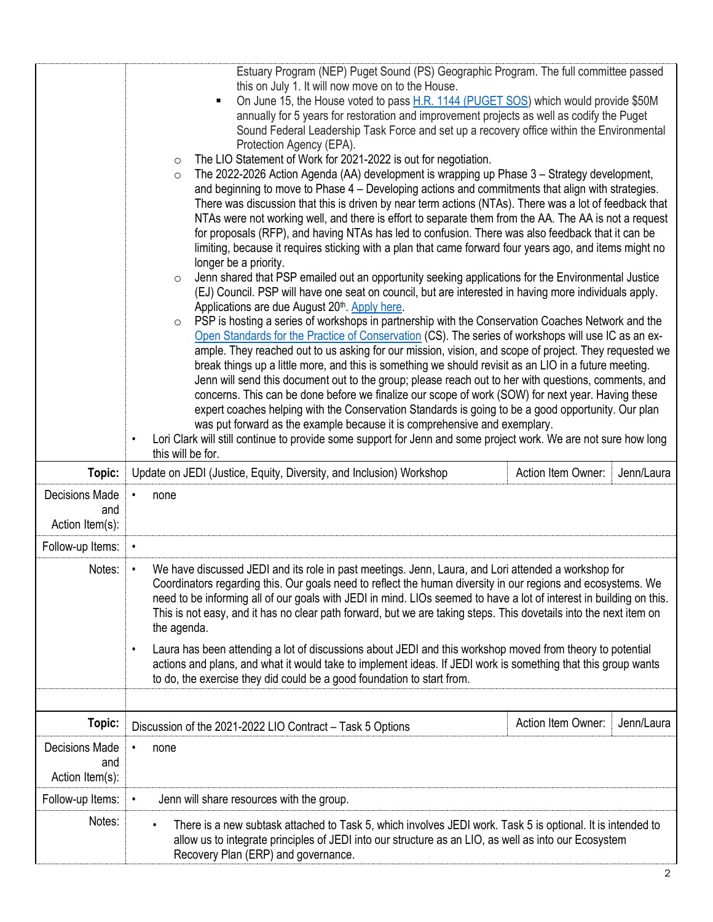|                                                 | Estuary Program (NEP) Puget Sound (PS) Geographic Program. The full committee passed<br>this on July 1. It will now move on to the House.<br>On June 15, the House voted to pass H.R. 1144 (PUGET SOS) which would provide \$50M<br>$\blacksquare$<br>annually for 5 years for restoration and improvement projects as well as codify the Puget<br>Sound Federal Leadership Task Force and set up a recovery office within the Environmental<br>Protection Agency (EPA).<br>The LIO Statement of Work for 2021-2022 is out for negotiation.<br>$\circ$<br>The 2022-2026 Action Agenda (AA) development is wrapping up Phase 3 - Strategy development,<br>$\circ$<br>and beginning to move to Phase 4 – Developing actions and commitments that align with strategies.<br>There was discussion that this is driven by near term actions (NTAs). There was a lot of feedback that<br>NTAs were not working well, and there is effort to separate them from the AA. The AA is not a request<br>for proposals (RFP), and having NTAs has led to confusion. There was also feedback that it can be<br>limiting, because it requires sticking with a plan that came forward four years ago, and items might no<br>longer be a priority.<br>Jenn shared that PSP emailed out an opportunity seeking applications for the Environmental Justice<br>$\circ$<br>(EJ) Council. PSP will have one seat on council, but are interested in having more individuals apply.<br>Applications are due August 20 <sup>th</sup> . Apply here.<br>PSP is hosting a series of workshops in partnership with the Conservation Coaches Network and the<br>$\circ$<br>Open Standards for the Practice of Conservation (CS). The series of workshops will use IC as an ex-<br>ample. They reached out to us asking for our mission, vision, and scope of project. They requested we<br>break things up a little more, and this is something we should revisit as an LIO in a future meeting.<br>Jenn will send this document out to the group; please reach out to her with questions, comments, and<br>concerns. This can be done before we finalize our scope of work (SOW) for next year. Having these<br>expert coaches helping with the Conservation Standards is going to be a good opportunity. Our plan<br>was put forward as the example because it is comprehensive and exemplary.<br>Lori Clark will still continue to provide some support for Jenn and some project work. We are not sure how long<br>$\bullet$<br>this will be for. |
|-------------------------------------------------|-------------------------------------------------------------------------------------------------------------------------------------------------------------------------------------------------------------------------------------------------------------------------------------------------------------------------------------------------------------------------------------------------------------------------------------------------------------------------------------------------------------------------------------------------------------------------------------------------------------------------------------------------------------------------------------------------------------------------------------------------------------------------------------------------------------------------------------------------------------------------------------------------------------------------------------------------------------------------------------------------------------------------------------------------------------------------------------------------------------------------------------------------------------------------------------------------------------------------------------------------------------------------------------------------------------------------------------------------------------------------------------------------------------------------------------------------------------------------------------------------------------------------------------------------------------------------------------------------------------------------------------------------------------------------------------------------------------------------------------------------------------------------------------------------------------------------------------------------------------------------------------------------------------------------------------------------------------------------------------------------------------------------------------------------------------------------------------------------------------------------------------------------------------------------------------------------------------------------------------------------------------------------------------------------------------------------------------------------------------------------------------------------------------------------------------------------------------------------------------------------------------------------|
| Topic:                                          | Update on JEDI (Justice, Equity, Diversity, and Inclusion) Workshop<br>Action Item Owner:<br>Jenn/Laura                                                                                                                                                                                                                                                                                                                                                                                                                                                                                                                                                                                                                                                                                                                                                                                                                                                                                                                                                                                                                                                                                                                                                                                                                                                                                                                                                                                                                                                                                                                                                                                                                                                                                                                                                                                                                                                                                                                                                                                                                                                                                                                                                                                                                                                                                                                                                                                                                 |
| Decisions Made<br>and<br>Action Item(s):        | none<br>$\bullet$                                                                                                                                                                                                                                                                                                                                                                                                                                                                                                                                                                                                                                                                                                                                                                                                                                                                                                                                                                                                                                                                                                                                                                                                                                                                                                                                                                                                                                                                                                                                                                                                                                                                                                                                                                                                                                                                                                                                                                                                                                                                                                                                                                                                                                                                                                                                                                                                                                                                                                       |
| Follow-up Items:                                | $\bullet$                                                                                                                                                                                                                                                                                                                                                                                                                                                                                                                                                                                                                                                                                                                                                                                                                                                                                                                                                                                                                                                                                                                                                                                                                                                                                                                                                                                                                                                                                                                                                                                                                                                                                                                                                                                                                                                                                                                                                                                                                                                                                                                                                                                                                                                                                                                                                                                                                                                                                                               |
| Notes:                                          | We have discussed JEDI and its role in past meetings. Jenn, Laura, and Lori attended a workshop for<br>$\bullet$<br>Coordinators regarding this. Our goals need to reflect the human diversity in our regions and ecosystems. We<br>need to be informing all of our goals with JEDI in mind. LIOs seemed to have a lot of interest in building on this.<br>This is not easy, and it has no clear path forward, but we are taking steps. This dovetails into the next item on<br>the agenda.<br>Laura has been attending a lot of discussions about JEDI and this workshop moved from theory to potential<br>$\bullet$<br>actions and plans, and what it would take to implement ideas. If JEDI work is something that this group wants<br>to do, the exercise they did could be a good foundation to start from.                                                                                                                                                                                                                                                                                                                                                                                                                                                                                                                                                                                                                                                                                                                                                                                                                                                                                                                                                                                                                                                                                                                                                                                                                                                                                                                                                                                                                                                                                                                                                                                                                                                                                                        |
| Topic:                                          | Action Item Owner:<br>Jenn/Laura                                                                                                                                                                                                                                                                                                                                                                                                                                                                                                                                                                                                                                                                                                                                                                                                                                                                                                                                                                                                                                                                                                                                                                                                                                                                                                                                                                                                                                                                                                                                                                                                                                                                                                                                                                                                                                                                                                                                                                                                                                                                                                                                                                                                                                                                                                                                                                                                                                                                                        |
|                                                 | Discussion of the 2021-2022 LIO Contract - Task 5 Options                                                                                                                                                                                                                                                                                                                                                                                                                                                                                                                                                                                                                                                                                                                                                                                                                                                                                                                                                                                                                                                                                                                                                                                                                                                                                                                                                                                                                                                                                                                                                                                                                                                                                                                                                                                                                                                                                                                                                                                                                                                                                                                                                                                                                                                                                                                                                                                                                                                               |
| <b>Decisions Made</b><br>and<br>Action Item(s): | none                                                                                                                                                                                                                                                                                                                                                                                                                                                                                                                                                                                                                                                                                                                                                                                                                                                                                                                                                                                                                                                                                                                                                                                                                                                                                                                                                                                                                                                                                                                                                                                                                                                                                                                                                                                                                                                                                                                                                                                                                                                                                                                                                                                                                                                                                                                                                                                                                                                                                                                    |
| Follow-up Items:                                | Jenn will share resources with the group.<br>$\bullet$                                                                                                                                                                                                                                                                                                                                                                                                                                                                                                                                                                                                                                                                                                                                                                                                                                                                                                                                                                                                                                                                                                                                                                                                                                                                                                                                                                                                                                                                                                                                                                                                                                                                                                                                                                                                                                                                                                                                                                                                                                                                                                                                                                                                                                                                                                                                                                                                                                                                  |
| Notes:                                          | There is a new subtask attached to Task 5, which involves JEDI work. Task 5 is optional. It is intended to<br>allow us to integrate principles of JEDI into our structure as an LIO, as well as into our Ecosystem<br>Recovery Plan (ERP) and governance.                                                                                                                                                                                                                                                                                                                                                                                                                                                                                                                                                                                                                                                                                                                                                                                                                                                                                                                                                                                                                                                                                                                                                                                                                                                                                                                                                                                                                                                                                                                                                                                                                                                                                                                                                                                                                                                                                                                                                                                                                                                                                                                                                                                                                                                               |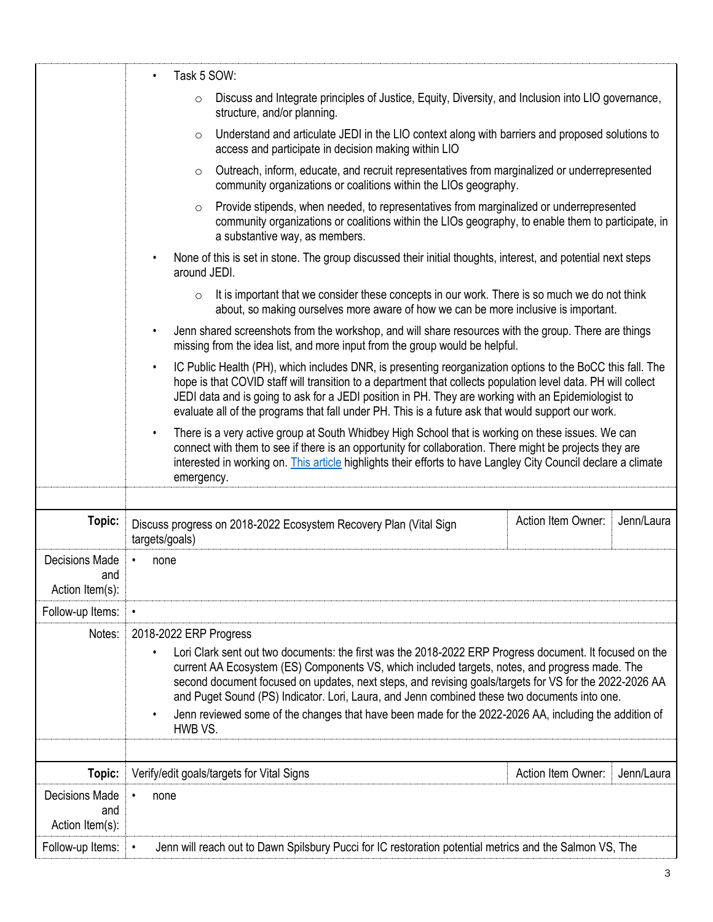|                                                 | Task 5 SOW:                                                                                                                                                                                                                                                                                                                                                                                                                                                                                                                                                       |  |
|-------------------------------------------------|-------------------------------------------------------------------------------------------------------------------------------------------------------------------------------------------------------------------------------------------------------------------------------------------------------------------------------------------------------------------------------------------------------------------------------------------------------------------------------------------------------------------------------------------------------------------|--|
|                                                 | Discuss and Integrate principles of Justice, Equity, Diversity, and Inclusion into LIO governance,<br>$\circ$<br>structure, and/or planning.                                                                                                                                                                                                                                                                                                                                                                                                                      |  |
|                                                 | Understand and articulate JEDI in the LIO context along with barriers and proposed solutions to<br>$\circ$<br>access and participate in decision making within LIO                                                                                                                                                                                                                                                                                                                                                                                                |  |
|                                                 | Outreach, inform, educate, and recruit representatives from marginalized or underrepresented<br>$\circ$<br>community organizations or coalitions within the LIOs geography.                                                                                                                                                                                                                                                                                                                                                                                       |  |
|                                                 | Provide stipends, when needed, to representatives from marginalized or underrepresented<br>$\circ$<br>community organizations or coalitions within the LIOs geography, to enable them to participate, in<br>a substantive way, as members.                                                                                                                                                                                                                                                                                                                        |  |
|                                                 | None of this is set in stone. The group discussed their initial thoughts, interest, and potential next steps<br>around JEDI.                                                                                                                                                                                                                                                                                                                                                                                                                                      |  |
|                                                 | It is important that we consider these concepts in our work. There is so much we do not think<br>$\circ$<br>about, so making ourselves more aware of how we can be more inclusive is important.                                                                                                                                                                                                                                                                                                                                                                   |  |
|                                                 | Jenn shared screenshots from the workshop, and will share resources with the group. There are things<br>missing from the idea list, and more input from the group would be helpful.                                                                                                                                                                                                                                                                                                                                                                               |  |
|                                                 | IC Public Health (PH), which includes DNR, is presenting reorganization options to the BoCC this fall. The<br>$\bullet$<br>hope is that COVID staff will transition to a department that collects population level data. PH will collect<br>JEDI data and is going to ask for a JEDI position in PH. They are working with an Epidemiologist to<br>evaluate all of the programs that fall under PH. This is a future ask that would support our work.                                                                                                             |  |
|                                                 | There is a very active group at South Whidbey High School that is working on these issues. We can<br>connect with them to see if there is an opportunity for collaboration. There might be projects they are<br>interested in working on. This article highlights their efforts to have Langley City Council declare a climate<br>emergency.                                                                                                                                                                                                                      |  |
|                                                 |                                                                                                                                                                                                                                                                                                                                                                                                                                                                                                                                                                   |  |
| Topic:                                          | Action Item Owner:<br>Jenn/Laura<br>Discuss progress on 2018-2022 Ecosystem Recovery Plan (Vital Sign<br>targets/goals)                                                                                                                                                                                                                                                                                                                                                                                                                                           |  |
| <b>Decisions Made</b><br>and<br>Action Item(s): | none                                                                                                                                                                                                                                                                                                                                                                                                                                                                                                                                                              |  |
| Follow-up Items:                                | $\bullet$                                                                                                                                                                                                                                                                                                                                                                                                                                                                                                                                                         |  |
| Notes:                                          | 2018-2022 ERP Progress<br>Lori Clark sent out two documents: the first was the 2018-2022 ERP Progress document. It focused on the<br>current AA Ecosystem (ES) Components VS, which included targets, notes, and progress made. The<br>second document focused on updates, next steps, and revising goals/targets for VS for the 2022-2026 AA<br>and Puget Sound (PS) Indicator. Lori, Laura, and Jenn combined these two documents into one.<br>Jenn reviewed some of the changes that have been made for the 2022-2026 AA, including the addition of<br>HWB VS. |  |
| Topic:                                          | Action Item Owner:<br>Verify/edit goals/targets for Vital Signs<br>Jenn/Laura                                                                                                                                                                                                                                                                                                                                                                                                                                                                                     |  |
| <b>Decisions Made</b><br>and<br>Action Item(s): | none<br>$\bullet$                                                                                                                                                                                                                                                                                                                                                                                                                                                                                                                                                 |  |
| Follow-up Items:                                | Jenn will reach out to Dawn Spilsbury Pucci for IC restoration potential metrics and the Salmon VS, The<br>$\bullet$                                                                                                                                                                                                                                                                                                                                                                                                                                              |  |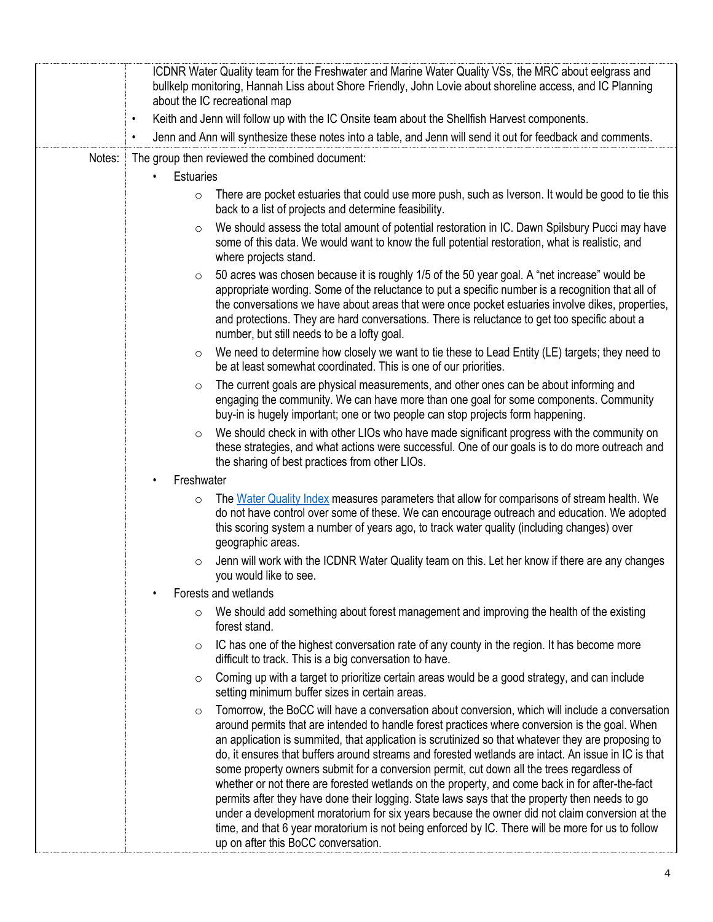|        | ICDNR Water Quality team for the Freshwater and Marine Water Quality VSs, the MRC about eelgrass and<br>bullkelp monitoring, Hannah Liss about Shore Friendly, John Lovie about shoreline access, and IC Planning<br>about the IC recreational map                                                                                                                                                                                                                                                                                                                                                                                                                                                                                                                                                                                                                                                                                                                        |  |
|--------|---------------------------------------------------------------------------------------------------------------------------------------------------------------------------------------------------------------------------------------------------------------------------------------------------------------------------------------------------------------------------------------------------------------------------------------------------------------------------------------------------------------------------------------------------------------------------------------------------------------------------------------------------------------------------------------------------------------------------------------------------------------------------------------------------------------------------------------------------------------------------------------------------------------------------------------------------------------------------|--|
|        | Keith and Jenn will follow up with the IC Onsite team about the Shellfish Harvest components.<br>$\bullet$                                                                                                                                                                                                                                                                                                                                                                                                                                                                                                                                                                                                                                                                                                                                                                                                                                                                |  |
|        | Jenn and Ann will synthesize these notes into a table, and Jenn will send it out for feedback and comments.<br>$\bullet$                                                                                                                                                                                                                                                                                                                                                                                                                                                                                                                                                                                                                                                                                                                                                                                                                                                  |  |
| Notes: | The group then reviewed the combined document:                                                                                                                                                                                                                                                                                                                                                                                                                                                                                                                                                                                                                                                                                                                                                                                                                                                                                                                            |  |
|        | <b>Estuaries</b><br>$\bullet$                                                                                                                                                                                                                                                                                                                                                                                                                                                                                                                                                                                                                                                                                                                                                                                                                                                                                                                                             |  |
|        | There are pocket estuaries that could use more push, such as Iverson. It would be good to tie this<br>$\circ$<br>back to a list of projects and determine feasibility.                                                                                                                                                                                                                                                                                                                                                                                                                                                                                                                                                                                                                                                                                                                                                                                                    |  |
|        | We should assess the total amount of potential restoration in IC. Dawn Spilsbury Pucci may have<br>$\circ$<br>some of this data. We would want to know the full potential restoration, what is realistic, and<br>where projects stand.                                                                                                                                                                                                                                                                                                                                                                                                                                                                                                                                                                                                                                                                                                                                    |  |
|        | 50 acres was chosen because it is roughly 1/5 of the 50 year goal. A "net increase" would be<br>$\circ$<br>appropriate wording. Some of the reluctance to put a specific number is a recognition that all of<br>the conversations we have about areas that were once pocket estuaries involve dikes, properties,<br>and protections. They are hard conversations. There is reluctance to get too specific about a<br>number, but still needs to be a lofty goal.                                                                                                                                                                                                                                                                                                                                                                                                                                                                                                          |  |
|        | We need to determine how closely we want to tie these to Lead Entity (LE) targets; they need to<br>$\circ$<br>be at least somewhat coordinated. This is one of our priorities.                                                                                                                                                                                                                                                                                                                                                                                                                                                                                                                                                                                                                                                                                                                                                                                            |  |
|        | The current goals are physical measurements, and other ones can be about informing and<br>$\circ$<br>engaging the community. We can have more than one goal for some components. Community<br>buy-in is hugely important; one or two people can stop projects form happening.                                                                                                                                                                                                                                                                                                                                                                                                                                                                                                                                                                                                                                                                                             |  |
|        | We should check in with other LIOs who have made significant progress with the community on<br>$\circ$<br>these strategies, and what actions were successful. One of our goals is to do more outreach and<br>the sharing of best practices from other LIOs.                                                                                                                                                                                                                                                                                                                                                                                                                                                                                                                                                                                                                                                                                                               |  |
|        | Freshwater                                                                                                                                                                                                                                                                                                                                                                                                                                                                                                                                                                                                                                                                                                                                                                                                                                                                                                                                                                |  |
|        | The Water Quality Index measures parameters that allow for comparisons of stream health. We<br>$\circ$<br>do not have control over some of these. We can encourage outreach and education. We adopted<br>this scoring system a number of years ago, to track water quality (including changes) over<br>geographic areas.                                                                                                                                                                                                                                                                                                                                                                                                                                                                                                                                                                                                                                                  |  |
|        | Jenn will work with the ICDNR Water Quality team on this. Let her know if there are any changes<br>$\circ$<br>you would like to see.                                                                                                                                                                                                                                                                                                                                                                                                                                                                                                                                                                                                                                                                                                                                                                                                                                      |  |
|        | Forests and wetlands                                                                                                                                                                                                                                                                                                                                                                                                                                                                                                                                                                                                                                                                                                                                                                                                                                                                                                                                                      |  |
|        | We should add something about forest management and improving the health of the existing<br>$\circ$<br>forest stand.                                                                                                                                                                                                                                                                                                                                                                                                                                                                                                                                                                                                                                                                                                                                                                                                                                                      |  |
|        | IC has one of the highest conversation rate of any county in the region. It has become more<br>$\circ$<br>difficult to track. This is a big conversation to have.                                                                                                                                                                                                                                                                                                                                                                                                                                                                                                                                                                                                                                                                                                                                                                                                         |  |
|        | Coming up with a target to prioritize certain areas would be a good strategy, and can include<br>$\circ$<br>setting minimum buffer sizes in certain areas.                                                                                                                                                                                                                                                                                                                                                                                                                                                                                                                                                                                                                                                                                                                                                                                                                |  |
|        | Tomorrow, the BoCC will have a conversation about conversion, which will include a conversation<br>$\circ$<br>around permits that are intended to handle forest practices where conversion is the goal. When<br>an application is summited, that application is scrutinized so that whatever they are proposing to<br>do, it ensures that buffers around streams and forested wetlands are intact. An issue in IC is that<br>some property owners submit for a conversion permit, cut down all the trees regardless of<br>whether or not there are forested wetlands on the property, and come back in for after-the-fact<br>permits after they have done their logging. State laws says that the property then needs to go<br>under a development moratorium for six years because the owner did not claim conversion at the<br>time, and that 6 year moratorium is not being enforced by IC. There will be more for us to follow<br>up on after this BoCC conversation. |  |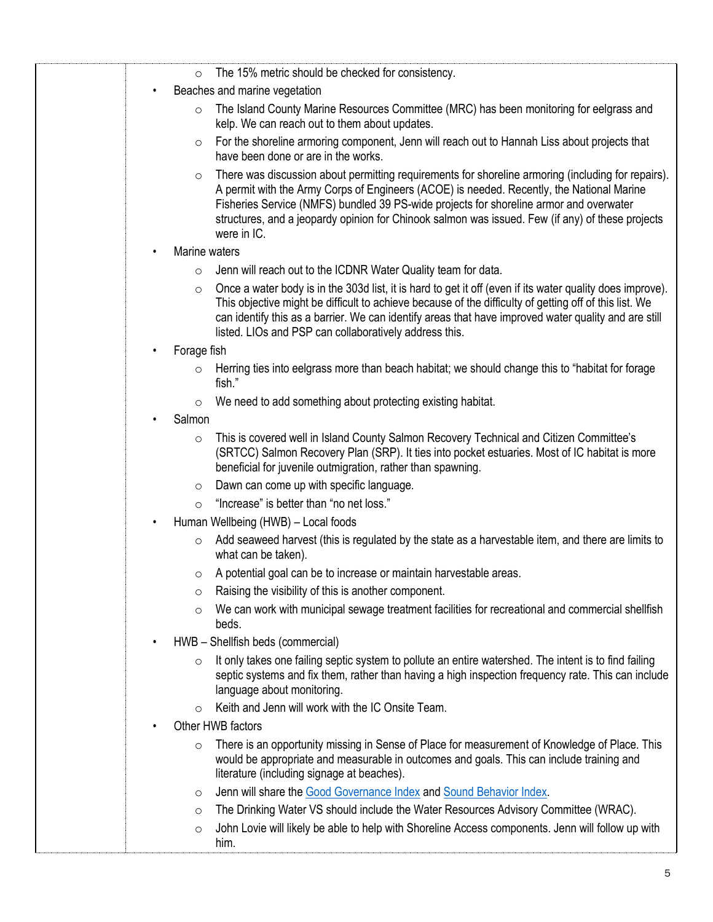| $\circ$            | The 15% metric should be checked for consistency.                                                                                                                                                                                                                                                                                                                                                            |
|--------------------|--------------------------------------------------------------------------------------------------------------------------------------------------------------------------------------------------------------------------------------------------------------------------------------------------------------------------------------------------------------------------------------------------------------|
| $\bullet$          | Beaches and marine vegetation                                                                                                                                                                                                                                                                                                                                                                                |
| $\circ$            | The Island County Marine Resources Committee (MRC) has been monitoring for eelgrass and<br>kelp. We can reach out to them about updates.                                                                                                                                                                                                                                                                     |
| O                  | For the shoreline armoring component, Jenn will reach out to Hannah Liss about projects that<br>have been done or are in the works.                                                                                                                                                                                                                                                                          |
| $\circ$            | There was discussion about permitting requirements for shoreline armoring (including for repairs).<br>A permit with the Army Corps of Engineers (ACOE) is needed. Recently, the National Marine<br>Fisheries Service (NMFS) bundled 39 PS-wide projects for shoreline armor and overwater<br>structures, and a jeopardy opinion for Chinook salmon was issued. Few (if any) of these projects<br>were in IC. |
| Marine waters<br>٠ |                                                                                                                                                                                                                                                                                                                                                                                                              |
| $\circ$            | Jenn will reach out to the ICDNR Water Quality team for data.                                                                                                                                                                                                                                                                                                                                                |
| $\circ$            | Once a water body is in the 303d list, it is hard to get it off (even if its water quality does improve).<br>This objective might be difficult to achieve because of the difficulty of getting off of this list. We<br>can identify this as a barrier. We can identify areas that have improved water quality and are still<br>listed. LIOs and PSP can collaboratively address this.                        |
| Forage fish        |                                                                                                                                                                                                                                                                                                                                                                                                              |
| $\circ$            | Herring ties into eelgrass more than beach habitat; we should change this to "habitat for forage<br>fish."                                                                                                                                                                                                                                                                                                   |
| $\circ$            | We need to add something about protecting existing habitat.                                                                                                                                                                                                                                                                                                                                                  |
| Salmon             |                                                                                                                                                                                                                                                                                                                                                                                                              |
| $\circ$            | This is covered well in Island County Salmon Recovery Technical and Citizen Committee's<br>(SRTCC) Salmon Recovery Plan (SRP). It ties into pocket estuaries. Most of IC habitat is more<br>beneficial for juvenile outmigration, rather than spawning.                                                                                                                                                      |
| $\circ$            | Dawn can come up with specific language.                                                                                                                                                                                                                                                                                                                                                                     |
| $\circ$            | "Increase" is better than "no net loss."                                                                                                                                                                                                                                                                                                                                                                     |
| $\bullet$          | Human Wellbeing (HWB) - Local foods                                                                                                                                                                                                                                                                                                                                                                          |
| $\circ$            | Add seaweed harvest (this is regulated by the state as a harvestable item, and there are limits to<br>what can be taken).                                                                                                                                                                                                                                                                                    |
| $\circ$            | A potential goal can be to increase or maintain harvestable areas.                                                                                                                                                                                                                                                                                                                                           |
| $\circ$            | Raising the visibility of this is another component.                                                                                                                                                                                                                                                                                                                                                         |
| $\circ$            | We can work with municipal sewage treatment facilities for recreational and commercial shellfish<br>beds.                                                                                                                                                                                                                                                                                                    |
| $\bullet$          | HWB - Shellfish beds (commercial)                                                                                                                                                                                                                                                                                                                                                                            |
| $\circ$            | It only takes one failing septic system to pollute an entire watershed. The intent is to find failing<br>septic systems and fix them, rather than having a high inspection frequency rate. This can include<br>language about monitoring.                                                                                                                                                                    |
| $\Omega$           | Keith and Jenn will work with the IC Onsite Team.                                                                                                                                                                                                                                                                                                                                                            |
|                    | Other HWB factors                                                                                                                                                                                                                                                                                                                                                                                            |
| $\circ$            | There is an opportunity missing in Sense of Place for measurement of Knowledge of Place. This<br>would be appropriate and measurable in outcomes and goals. This can include training and<br>literature (including signage at beaches).                                                                                                                                                                      |
| $\circ$            | Jenn will share the Good Governance Index and Sound Behavior Index.                                                                                                                                                                                                                                                                                                                                          |
| $\circ$            | The Drinking Water VS should include the Water Resources Advisory Committee (WRAC).                                                                                                                                                                                                                                                                                                                          |
| $\circ$            | John Lovie will likely be able to help with Shoreline Access components. Jenn will follow up with<br>him.                                                                                                                                                                                                                                                                                                    |